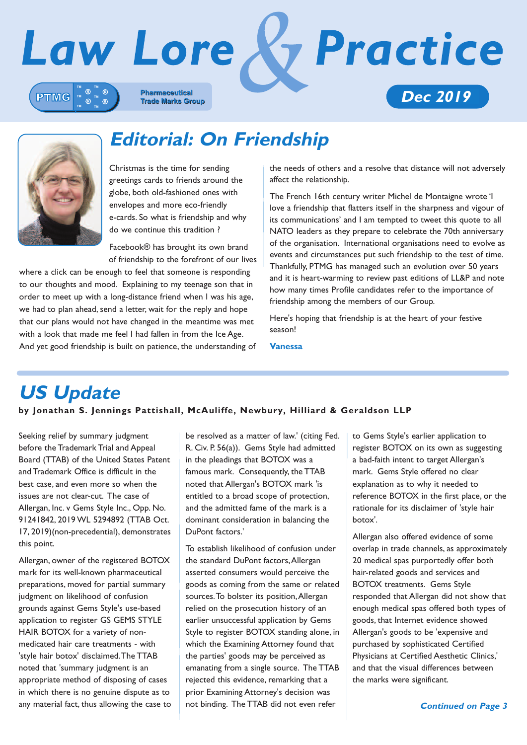



**Editorial: On Friendship**

Christmas is the time for sending greetings cards to friends around the globe, both old-fashioned ones with envelopes and more eco-friendly e-cards. So what is friendship and why do we continue this tradition ?

Facebook® has brought its own brand of friendship to the forefront of our lives

where a click can be enough to feel that someone is responding to our thoughts and mood. Explaining to my teenage son that in order to meet up with a long-distance friend when I was his age, we had to plan ahead, send a letter, wait for the reply and hope that our plans would not have changed in the meantime was met with a look that made me feel I had fallen in from the Ice Age. And yet good friendship is built on patience, the understanding of the needs of others and a resolve that distance will not adversely affect the relationship.

The French 16th century writer Michel de Montaigne wrote 'I love a friendship that flatters itself in the sharpness and vigour of its communications' and I am tempted to tweet this quote to all NATO leaders as they prepare to celebrate the 70th anniversary of the organisation. International organisations need to evolve as events and circumstances put such friendship to the test of time. Thankfully, PTMG has managed such an evolution over 50 years and it is heart-warming to review past editions of LL&P and note how many times Profile candidates refer to the importance of friendship among the members of our Group.

Here's hoping that friendship is at the heart of your festive season!

**Vanessa**

# **US Update**

**by Jonathan S. Jennings Pattishall, McAuliffe, Newbury, Hilliard & Geraldson LLP**

Seeking relief by summary judgment before the Trademark Trial and Appeal Board (TTAB) of the United States Patent and Trademark Office is difficult in the best case, and even more so when the issues are not clear-cut. The case of Allergan, Inc. v Gems Style Inc., Opp. No. 91241842, 2019 WL 5294892 (TTAB Oct. 17, 2019)(non-precedential), demonstrates this point.

Allergan, owner of the registered BOTOX mark for its well-known pharmaceutical preparations, moved for partial summary judgment on likelihood of confusion grounds against Gems Style's use-based application to register GS GEMS STYLE HAIR BOTOX for a variety of nonmedicated hair care treatments - with 'style hair botox' disclaimed.The TTAB noted that 'summary judgment is an appropriate method of disposing of cases in which there is no genuine dispute as to any material fact, thus allowing the case to be resolved as a matter of law.' (citing Fed. R. Civ. P. 56(a)). Gems Style had admitted in the pleadings that BOTOX was a famous mark. Consequently, the TTAB noted that Allergan's BOTOX mark 'is entitled to a broad scope of protection, and the admitted fame of the mark is a dominant consideration in balancing the DuPont factors.'

To establish likelihood of confusion under the standard DuPont factors,Allergan asserted consumers would perceive the goods as coming from the same or related sources.To bolster its position,Allergan relied on the prosecution history of an earlier unsuccessful application by Gems Style to register BOTOX standing alone, in which the Examining Attorney found that the parties' goods may be perceived as emanating from a single source. The TTAB rejected this evidence, remarking that a prior Examining Attorney's decision was not binding. The TTAB did not even refer

to Gems Style's earlier application to register BOTOX on its own as suggesting a bad-faith intent to target Allergan's mark. Gems Style offered no clear explanation as to why it needed to reference BOTOX in the first place, or the rationale for its disclaimer of 'style hair botox'.

Allergan also offered evidence of some overlap in trade channels, as approximately 20 medical spas purportedly offer both hair-related goods and services and BOTOX treatments. Gems Style responded that Allergan did not show that enough medical spas offered both types of goods, that Internet evidence showed Allergan's goods to be 'expensive and purchased by sophisticated Certified Physicians at Certified Aesthetic Clinics,' and that the visual differences between the marks were significant.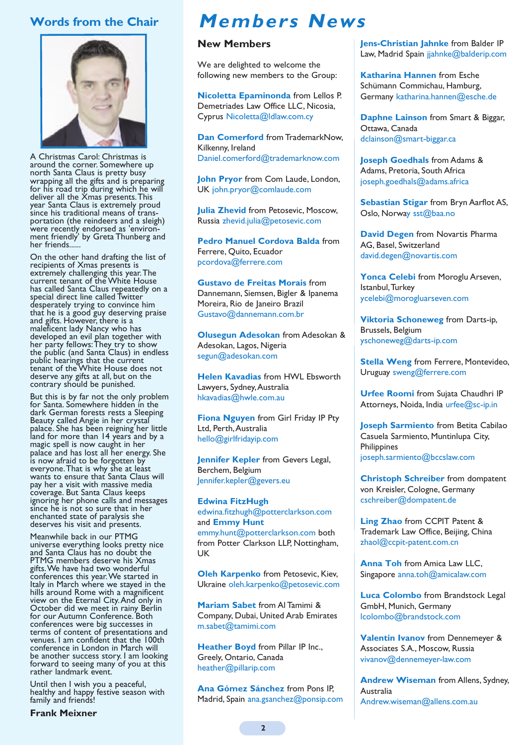# **Words from the Chair**



A Christmas Carol: Christmas is around the corner. Somewhere up north Santa Claus is pretty busy wrapping all the gifts and is preparing for his road trip during which he will deliver all the Xmas presents.This year Santa Claus is extremely proud<br>since his traditional means of transportation (the reindeers and a sleigh) were recently endorsed as 'environ- ment friendly' by Greta Thunberg and her friends....

On the other hand drafting the list of recipients of Xmas presents is extremely challenging this year.The current tenant of the White House has called Santa Claus repeatedly on a special direct line called Twitter desperately trying to convince him that he is a good guy deserving praise and gifts. However, there is a maleficent lady Nancy who has developed an evil plan together with her party fellows:They try to show the public (and Santa Claus) in endless public hearings that the current tenant of the White House does not deserve any gifts at all, but on the contrary should be punished.

But this is by far not the only problem for Santa. Somewhere hidden in the dark German forests rests <sup>a</sup> Sleeping Beauty called Angie in her crystal palace. She has been reigning her little land for more than 14 years and by a magic spell is now caught in her palace and has lost all her energy. She is now afraid to be forgotten by everyone.That is why she at least wants to ensure that Santa Claus will pay her a visit with massive media coverage. But Santa Claus keeps ignoring her phone calls and messages since he is not so sure that in her enchanted state of paralysis she deserves his visit and presents.

Meanwhile back in our PTMG universe everything looks pretty nice and Santa Claus has no doubt the PTMG members deserve his Xmas gifts.We have had two wonderful conferences this year.We started in Italy in March where we stayed in the hills around Rome with a magnificent view on the Eternal City.And only in October did we meet in rainy Berlin for our Autumn Conference. Both conferences were big successes in terms of content of presentations and venues. I am confident that the 100th conference in London in March will be another success story. <sup>I</sup> am looking forward to seeing many of you at this rather landmark event.

Until then <sup>I</sup> wish you <sup>a</sup> peaceful, healthy and happy festive season with family and friends!

# **Members News**

#### **New Members**

We are delighted to welcome the following new members to the Group:

**Nicoletta Epaminonda** from Lellos P. Demetriades Law Office LLC, Nicosia, Cyprus Nicoletta@ldlaw.com.cy

**Dan Comerford** from TrademarkNow, Kilkenny, Ireland Daniel.comerford@trademarknow.com

**John Pryor** from Com Laude, London, UK john.pryor@comlaude.com

**Julia Zhevid** from Petosevic, Moscow, Russia zhevid.julia@petosevic.com

**Pedro Manuel Cordova Balda** from Ferrere, Quito, Ecuador pcordova@ferrere.com

**Gustavo de Freitas Morais** from Dannemann, Siemsen, Bigler & Ipanema Moreira, Rio de Janeiro Brazil Gustavo@dannemann.com.br

**Olusegun Adesokan** from Adesokan & Adesokan, Lagos, Nigeria segun@adesokan.com

**Helen Kavadias** from HWL Ebsworth Lawyers, Sydney,Australia hkavadias@hwle.com.au

**Fiona Nguyen** from Girl Friday IP Pty Ltd, Perth,Australia hello@girlfridayip.com

**Jennifer Kepler** from Gevers Legal, Berchem, Belgium Jennifer.kepler@gevers.eu

**Edwina FitzHugh** edwina.fitzhugh@potterclarkson.com and **Emmy Hunt** emmy.hunt@potterclarkson.com both from Potter Clarkson LLP, Nottingham, UK

**Oleh Karpenko** from Petosevic, Kiev, Ukraine oleh.karpenko@petosevic.com

**Mariam Sabet** from Al Tamimi & Company, Dubai, United Arab Emirates m.sabet@tamimi.com

**Heather Boyd** from Pillar IP Inc., Greely, Ontario, Canada heather@pillarip.com

**Ana Gómez Sánchez** from Pons IP, Madrid, Spain ana.gsanchez@ponsip.com **Jens-Christian Jahnke** from Balder IP Law, Madrid Spain jjahnke@balderip.com

**Katharina Hannen** from Esche Schümann Commichau, Hamburg, Germany katharina.hannen@esche.de

**Daphne Lainson** from Smart & Biggar, Ottawa, Canada dclainson@smart-biggar.ca

**Joseph Goedhals** from Adams & Adams, Pretoria, South Africa joseph.goedhals@adams.africa

**Sebastian Stigar** from Bryn Aarflot AS, Oslo, Norway sst@baa.no

**David Degen** from Novartis Pharma AG, Basel, Switzerland david.degen@novartis.com

**Yonca Celebi** from Moroglu Arseven, Istanbul,Turkey ycelebi@morogluarseven.com

**Viktoria Schoneweg** from Darts-ip, Brussels, Belgium yschoneweg@darts-ip.com

**Stella Weng** from Ferrere, Montevideo, Uruguay sweng@ferrere.com

**Urfee Roomi** from Sujata Chaudhri IP Attorneys, Noida, India urfee@sc-ip.in

**Joseph Sarmiento** from Betita Cabilao Casuela Sarmiento, Muntinlupa City, **Philippines** joseph.sarmiento@bccslaw.com

**Christoph Schreiber** from dompatent von Kreisler, Cologne, Germany cschreiber@dompatent.de

**Ling Zhao** from CCPIT Patent & Trademark Law Office, Beijing, China zhaol@ccpit-patent.com.cn

**Anna Toh** from Amica Law LLC, Singapore anna.toh@amicalaw.com

**Luca Colombo** from Brandstock Legal GmbH, Munich, Germany lcolombo@brandstock.com

**Valentin Ivanov** from Dennemeyer & Associates S.A., Moscow, Russia vivanov@dennemeyer-law.com

**Andrew Wiseman** from Allens, Sydney, Australia Andrew.wiseman@allens.com.au

**Frank Meixner**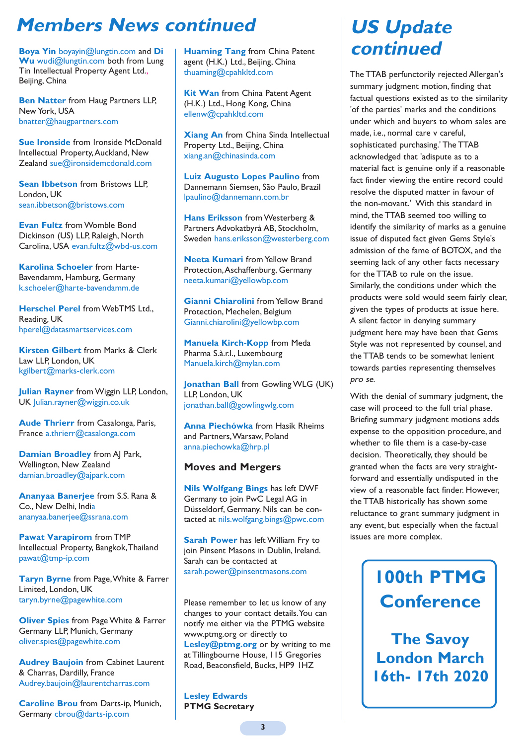# **Members News continued**

**Boya Yin** boyayin@lungtin.com and **Di** Wu wudi@lungtin.com both from Lung Tin Intellectual Property Agent Ltd., Beijing, China

**Ben Natter** from Haug Partners LLP, New York, USA bnatter@haugpartners.com

**Sue Ironside** from Ironside McDonald Intellectual Property,Auckland, New Zealand sue@ironsidemcdonald.com

**Sean Ibbetson** from Bristows LLP, London, UK sean.ibbetson@bristows.com

**Evan Fultz** from Womble Bond Dickinson (US) LLP, Raleigh, North Carolina, USA evan.fultz@wbd-us.com

**Karolina Schoeler** from Harte-Bavendamm, Hamburg, Germany k.schoeler@harte-bavendamm.de

**Herschel Perel** from WebTMS Ltd., Reading, UK hperel@datasmartservices.com

**Kirsten Gilbert** from Marks & Clerk Law LLP, London, UK kgilbert@marks-clerk.com

**Julian Rayner** from Wiggin LLP, London, UK Julian.rayner@wiggin.co.uk

**Aude Thrierr** from Casalonga, Paris, France a.thrierr@casalonga.com

**Damian Broadley** from AJ Park, Wellington, New Zealand damian.broadley@ajpark.com

**Ananyaa Banerjee** from S.S. Rana & Co., New Delhi, India ananyaa.banerjee@ssrana.com

**Pawat Varapirom** from TMP Intellectual Property, Bangkok,Thailand pawat@tmp-ip.com

**Taryn Byrne** from Page,White & Farrer Limited, London, UK taryn.byrne@pagewhite.com

**Oliver Spies** from Page White & Farrer Germany LLP, Munich, Germany oliver.spies@pagewhite.com

**Audrey Baujoin** from Cabinet Laurent & Charras, Dardilly, France Audrey.baujoin@laurentcharras.com

**Caroline Brou** from Darts-ip, Munich, Germany cbrou@darts-ip.com

**Huaming Tang** from China Patent agent (H.K.) Ltd., Beijing, China thuaming@cpahkltd.com

**Kit Wan** from China Patent Agent (H.K.) Ltd., Hong Kong, China ellenw@cpahkltd.com

**Xiang An** from China Sinda Intellectual Property Ltd., Beijing, China xiang.an@chinasinda.com

**Luiz Augusto Lopes Paulino** from Dannemann Siemsen, São Paulo, Brazil lpaulino@dannemann.com.br

**Hans Eriksson** from Westerberg & Partners Advokatbyrå AB, Stockholm, Sweden hans.eriksson@westerberg.com

**Neeta Kumari** from Yellow Brand Protection,Aschaffenburg, Germany neeta.kumari@yellowbp.com

**Gianni Chiarolini** from Yellow Brand Protection, Mechelen, Belgium Gianni.chiarolini@yellowbp.com

**Manuela Kirch-Kopp** from Meda Pharma S.à.r.l., Luxembourg Manuela.kirch@mylan.com

**Jonathan Ball** from Gowling WLG (UK) LLP, London, UK jonathan.ball@gowlingwlg.com

**Anna Piechówka** from Hasik Rheims and Partners,Warsaw, Poland anna.piechowka@hrp.pl

## **Moves and Mergers**

**Nils Wolfgang Bings** has left DWF Germany to join PwC Legal AG in Düsseldorf, Germany. Nils can be contacted at nils.wolfgang.bings@pwc.com

**Sarah Power** has left William Fry to join Pinsent Masons in Dublin, Ireland. Sarah can be contacted at sarah.power@pinsentmasons.com

Please remember to let us know of any changes to your contact details.You can notify me either via the PTMG website www.ptmg.org or directly to **Lesley@ptmg.org** or by writing to me at Tillingbourne House, 115 Gregories Road, Beaconsfield, Bucks, HP9 1HZ

**Lesley Edwards PTMG Secretary**

# **US Update continued**

The TTAB perfunctorily rejected Allergan's summary judgment motion, finding that factual questions existed as to the similarity 'of the parties' marks and the conditions under which and buyers to whom sales are made, i.e., normal care v careful, sophisticated purchasing.' The TTAB acknowledged that 'adispute as to a material fact is genuine only if a reasonable fact finder viewing the entire record could resolve the disputed matter in favour of the non-movant.' With this standard in mind, the TTAB seemed too willing to identify the similarity of marks as a genuine issue of disputed fact given Gems Style's admission of the fame of BOTOX, and the seeming lack of any other facts necessary for the TTAB to rule on the issue. Similarly, the conditions under which the products were sold would seem fairly clear, given the types of products at issue here. A silent factor in denying summary judgment here may have been that Gems Style was not represented by counsel, and the TTAB tends to be somewhat lenient towards parties representing themselves pro se.

With the denial of summary judgment, the case will proceed to the full trial phase. Briefing summary judgment motions adds expense to the opposition procedure, and whether to file them is a case-by-case decision. Theoretically, they should be granted when the facts are very straightforward and essentially undisputed in the view of a reasonable fact finder. However, the TTAB historically has shown some reluctance to grant summary judgment in any event, but especially when the factual issues are more complex.

# **100th PTMG Conference**

**The Savoy London March 16th- 17th 2020**

**3**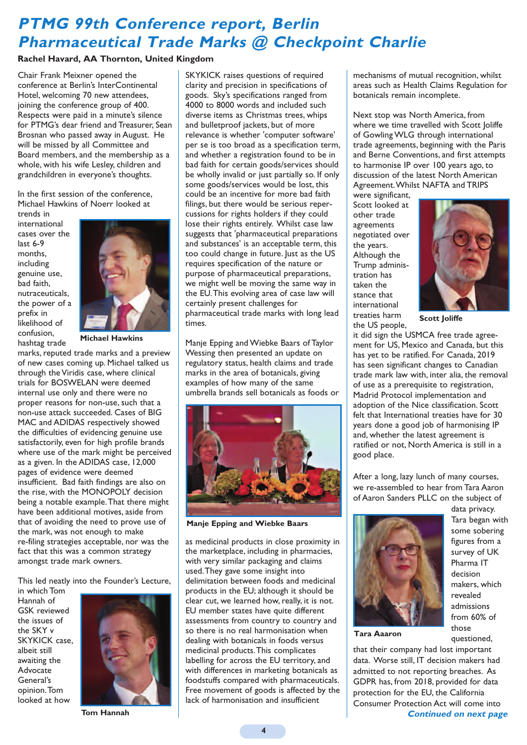# **PTMG 99th Conference report, Berlin Pharmaceutical Trade Marks @ Checkpoint Charlie**

#### **Rachel Havard, AA Thornton, United Kingdom**

Chair Frank Meixner opened the conference at Berlin's InterContinental Hotel, welcoming 70 new attendees, joining the conference group of 400. Respects were paid in a minute's silence for PTMG's dear friend and Treasurer, Sean Brosnan who passed away in August. He will be missed by all Committee and Board members, and the membership as a whole, with his wife Lesley, children and grandchildren in everyone's thoughts.

In the first session of the conference, Michael Hawkins of Noerr looked at

trends in international cases over the last 6-9 months, including genuine use, bad faith, nutraceuticals, the power of a prefix in likelihood of confusion, hashtag trade



**Michael Hawkins**

marks, reputed trade marks and a preview of new cases coming up. Michael talked us through the Viridis case, where clinical trials for BOSWELAN were deemed internal use only and there were no proper reasons for non-use, such that a non-use attack succeeded. Cases of BIG MAC and ADIDAS respectively showed the difficulties of evidencing genuine use satisfactorily, even for high profile brands where use of the mark might be perceived as a given. In the ADIDAS case, 12,000 pages of evidence were deemed insufficient. Bad faith findings are also on the rise, with the MONOPOLY decision being a notable example.That there might have been additional motives, aside from that of avoiding the need to prove use of the mark, was not enough to make re-filing strategies acceptable, nor was the fact that this was a common strategy amongst trade mark owners.

This led neatly into the Founder's Lecture,

in which Tom Hannah of GSK reviewed the issues of the SKY v SKYKICK case, albeit still awaiting the Advocate General's opinion.Tom looked at how



**Tom Hannah**

SKYKICK raises questions of required clarity and precision in specifications of goods. Sky's specifications ranged from 4000 to 8000 words and included such diverse items as Christmas trees, whips and bulletproof jackets, but of more relevance is whether 'computer software' per se is too broad as a specification term, and whether a registration found to be in bad faith for certain goods/services should be wholly invalid or just partially so. If only some goods/services would be lost, this could be an incentive for more bad faith filings, but there would be serious repercussions for rights holders if they could lose their rights entirely. Whilst case law suggests that 'pharmaceutical preparations and substances' is an acceptable term, this too could change in future. Just as the US requires specification of the nature or purpose of pharmaceutical preparations, we might well be moving the same way in the EU.This evolving area of case law will certainly present challenges for pharmaceutical trade marks with long lead times.

Manje Epping and Wiebke Baars of Taylor Wessing then presented an update on regulatory status, health claims and trade marks in the area of botanicals, giving examples of how many of the same umbrella brands sell botanicals as foods or



**Manje Epping and Wiebke Baars**

as medicinal products in close proximity in the marketplace, including in pharmacies, with very similar packaging and claims used.They gave some insight into delimitation between foods and medicinal products in the EU; although it should be clear cut, we learned how, really, it is not. EU member states have quite different assessments from country to country and so there is no real harmonisation when dealing with botanicals in foods versus medicinal products.This complicates labelling for across the EU territory, and with differences in marketing botanicals as foodstuffs compared with pharmaceuticals. Free movement of goods is affected by the lack of harmonisation and insufficient

mechanisms of mutual recognition, whilst areas such as Health Claims Regulation for botanicals remain incomplete.

Next stop was North America, from where we time travelled with Scott Joliffe of Gowling WLG through international trade agreements, beginning with the Paris and Berne Conventions, and first attempts to harmonise IP over 100 years ago, to discussion of the latest North American Agreement.Whilst NAFTA and TRIPS

were significant, Scott looked at other trade agreements negotiated over the years. Although the Trump administration has taken the stance that international treaties harm the US people,



**Scott Joliffe**

it did sign the USMCA free trade agreement for US, Mexico and Canada, but this has yet to be ratified. For Canada, 2019 has seen significant changes to Canadian trade mark law with, inter alia, the removal of use as a prerequisite to registration, Madrid Protocol implementation and adoption of the Nice classification. Scott felt that International treaties have for 30 years done a good job of harmonising IP and, whether the latest agreement is ratified or not, North America is still in a good place.

After a long, lazy lunch of many courses, we re-assembled to hear from Tara Aaron of Aaron Sanders PLLC on the subject of



data privacy. Tara began with some sobering figures from a survey of UK Pharma IT decision makers, which revealed admissions from 60% of those questioned,

**Tara Aaaron**

that their company had lost important data. Worse still, IT decision makers had admitted to not reporting breaches. As GDPR has, from 2018, provided for data protection for the EU, the California Consumer Protection Act will come into **Continued on next page**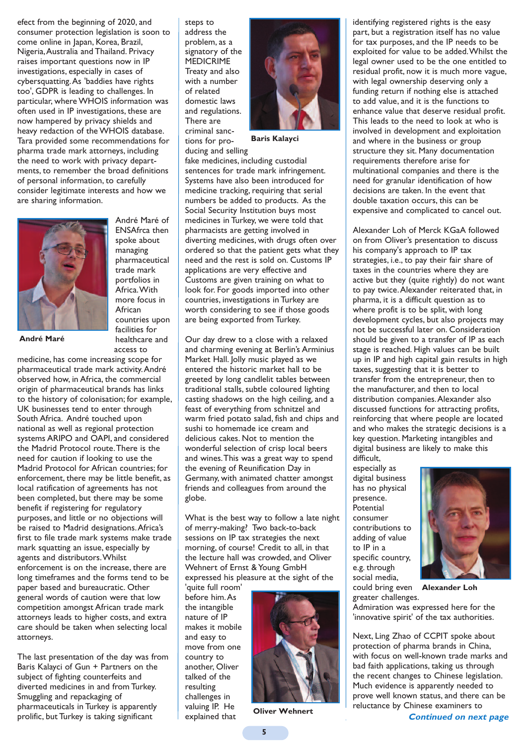efect from the beginning of 2020, and consumer protection legislation is soon to come online in Japan, Korea, Brazil, Nigeria,Australia and Thailand. Privacy raises important questions now in IP investigations, especially in cases of cybersquatting.As 'baddies have rights too', GDPR is leading to challenges. In particular, where WHOIS information was often used in IP investigations, these are now hampered by privacy shields and heavy redaction of the WHOIS database. Tara provided some recommendations for pharma trade mark attorneys, including the need to work with privacy departments, to remember the broad definitions of personal information, to carefully consider legitimate interests and how we are sharing information.



**André Maré**

trade mark portfolios in Africa.With more focus in African countries upon facilities for healthcare and access to

André Maré of ENSAfrca then spoke about managing pharmaceutical

medicine, has come increasing scope for pharmaceutical trade mark activity.André observed how, in Africa, the commercial origin of pharmaceutical brands has links to the history of colonisation; for example, UK businesses tend to enter through South Africa. André touched upon national as well as regional protection systems ARIPO and OAPI, and considered the Madrid Protocol route.There is the need for caution if looking to use the Madrid Protocol for African countries; for enforcement, there may be little benefit, as local ratification of agreements has not been completed, but there may be some benefit if registering for regulatory purposes, and little or no objections will be raised to Madrid designations.Africa's first to file trade mark systems make trade mark squatting an issue, especially by agents and distributors.Whilst enforcement is on the increase, there are long timeframes and the forms tend to be paper based and bureaucratic. Other general words of caution were that low competition amongst African trade mark attorneys leads to higher costs, and extra care should be taken when selecting local attorneys.

The last presentation of the day was from Baris Kalayci of Gun + Partners on the subject of fighting counterfeits and diverted medicines in and from Turkey. Smuggling and repackaging of pharmaceuticals in Turkey is apparently prolific, but Turkey is taking significant

steps to address the problem, as a signatory of the MEDICRIME Treaty and also with a number of related domestic laws and regulations. There are criminal sanctions for producing and selling



**Baris Kalayci**

fake medicines, including custodial sentences for trade mark infringement. Systems have also been introduced for medicine tracking, requiring that serial numbers be added to products. As the Social Security Institution buys most medicines in Turkey, we were told that pharmacists are getting involved in diverting medicines, with drugs often over ordered so that the patient gets what they need and the rest is sold on. Customs IP applications are very effective and Customs are given training on what to look for. For goods imported into other countries, investigations in Turkey are worth considering to see if those goods are being exported from Turkey.

Our day drew to a close with a relaxed and charming evening at Berlin's Arminius Market Hall. Jolly music played as we entered the historic market hall to be greeted by long candlelit tables between traditional stalls, subtle coloured lighting casting shadows on the high ceiling, and a feast of everything from schnitzel and warm fried potato salad, fish and chips and sushi to homemade ice cream and delicious cakes. Not to mention the wonderful selection of crisp local beers and wines.This was a great way to spend the evening of Reunification Day in Germany, with animated chatter amongst friends and colleagues from around the globe.

What is the best way to follow a late night of merry-making? Two back-to-back sessions on IP tax strategies the next morning, of course! Credit to all, in that the lecture hall was crowded, and Oliver Wehnert of Ernst & Young GmbH expressed his pleasure at the sight of the

'quite full room' before him.As the intangible nature of IP makes it mobile and easy to move from one country to another, Oliver talked of the resulting challenges in valuing IP. He explained that



**Oliver Wehnert**

identifying registered rights is the easy part, but a registration itself has no value for tax purposes, and the IP needs to be exploited for value to be added.Whilst the legal owner used to be the one entitled to residual profit, now it is much more vague, with legal ownership deserving only a funding return if nothing else is attached to add value, and it is the functions to enhance value that deserve residual profit. This leads to the need to look at who is involved in development and exploitation and where in the business or group structure they sit. Many documentation requirements therefore arise for multinational companies and there is the need for granular identification of how decisions are taken. In the event that double taxation occurs, this can be expensive and complicated to cancel out.

Alexander Loh of Merck KGaA followed on from Oliver's presentation to discuss his company's approach to IP tax strategies, i.e., to pay their fair share of taxes in the countries where they are active but they (quite rightly) do not want to pay twice.Alexander reiterated that, in pharma, it is a difficult question as to where profit is to be split, with long development cycles, but also projects may not be successful later on. Consideration should be given to a transfer of IP as each stage is reached. High values can be built up in IP and high capital gain results in high taxes, suggesting that it is better to transfer from the entrepreneur, then to the manufacturer, and then to local distribution companies.Alexander also discussed functions for attracting profits, reinforcing that where people are located and who makes the strategic decisions is a key question. Marketing intangibles and digital business are likely to make this difficult,

especially as digital business has no physical presence. **Potential** consumer contributions to adding of value to IP in a specific country, e.g. through social media,

greater challenges.



could bring even **Alexander Loh**

Admiration was expressed here for the 'innovative spirit' of the tax authorities.

Next, Ling Zhao of CCPIT spoke about protection of pharma brands in China, with focus on well-known trade marks and bad faith applications, taking us through the recent changes to Chinese legislation. Much evidence is apparently needed to prove well known status, and there can be reluctance by Chinese examiners to

**Continued on next page**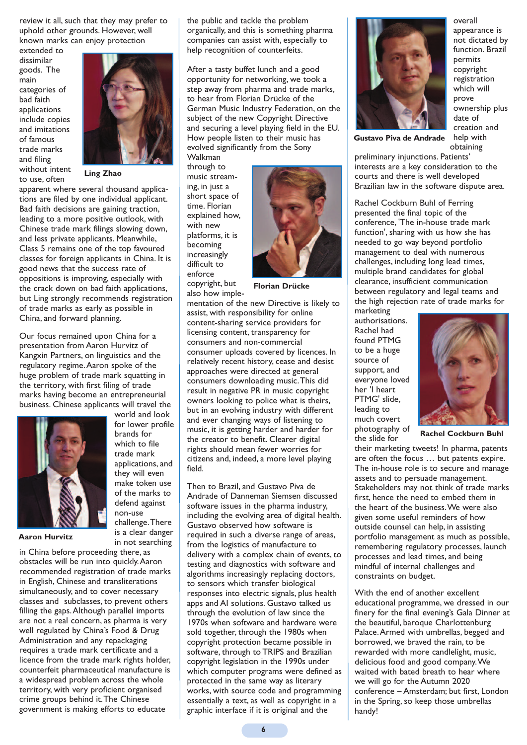review it all, such that they may prefer to uphold other grounds. However, well known marks can enjoy protection

extended to dissimilar goods. The main categories of bad faith applications include copies and imitations of famous trade marks and filing without intent to use, often



**Ling Zhao**

apparent where several thousand applications are filed by one individual applicant. Bad faith decisions are gaining traction, leading to a more positive outlook, with Chinese trade mark filings slowing down, and less private applicants. Meanwhile, Class 5 remains one of the top favoured classes for foreign applicants in China. It is good news that the success rate of oppositions is improving, especially with the crack down on bad faith applications, but Ling strongly recommends registration of trade marks as early as possible in China, and forward planning.

Our focus remained upon China for a presentation from Aaron Hurvitz of Kangxin Partners, on linguistics and the regulatory regime.Aaron spoke of the huge problem of trade mark squatting in the territory, with first filing of trade marks having become an entrepreneurial business. Chinese applicants will travel the



for lower profile brands for which to file trade mark applications, and they will even make token use of the marks to defend against non-use challenge.There is a clear danger in not searching

world and look

**Aaron Hurvitz**

in China before proceeding there, as obstacles will be run into quickly.Aaron recommended registration of trade marks in English, Chinese and transliterations simultaneously, and to cover necessary classes and subclasses, to prevent others filling the gaps.Although parallel imports are not a real concern, as pharma is very well regulated by China's Food & Drug Administration and any repackaging requires a trade mark certificate and a licence from the trade mark rights holder, counterfeit pharmaceutical manufacture is a widespread problem across the whole territory, with very proficient organised crime groups behind it.The Chinese government is making efforts to educate

the public and tackle the problem organically, and this is something pharma companies can assist with, especially to help recognition of counterfeits.

After a tasty buffet lunch and a good opportunity for networking, we took a step away from pharma and trade marks, to hear from Florian Drücke of the German Music Industry Federation, on the subject of the new Copyright Directive and securing a level playing field in the EU. How people listen to their music has evolved significantly from the Sony

Walkman through to music streaming, in just a short space of time. Florian explained how, with new platforms, it is becoming increasingly difficult to enforce copyright, but



**Florian Drücke**

also how implementation of the new Directive is likely to assist, with responsibility for online content-sharing service providers for licensing content, transparency for consumers and non-commercial consumer uploads covered by licences. In relatively recent history, cease and desist approaches were directed at general consumers downloading music.This did result in negative PR in music copyright owners looking to police what is theirs, but in an evolving industry with different and ever changing ways of listening to music, it is getting harder and harder for the creator to benefit. Clearer digital rights should mean fewer worries for citizens and, indeed, a more level playing field.

Then to Brazil, and Gustavo Piva de Andrade of Danneman Siemsen discussed software issues in the pharma industry, including the evolving area of digital health. Gustavo observed how software is required in such a diverse range of areas, from the logistics of manufacture to delivery with a complex chain of events, to testing and diagnostics with software and algorithms increasingly replacing doctors, to sensors which transfer biological responses into electric signals, plus health apps and AI solutions. Gustavo talked us through the evolution of law since the 1970s when software and hardware were sold together, through the 1980s when copyright protection became possible in software, through to TRIPS and Brazilian copyright legislation in the 1990s under which computer programs were defined as protected in the same way as literary works, with source code and programming essentially a text, as well as copyright in a graphic interface if it is original and the



overall appearance is not dictated by function. Brazil permits copyright registration which will prove ownership plus date of creation and help with obtaining

**Gustavo Piva de Andrade**

preliminary injunctions. Patients' interests are a key consideration to the courts and there is well developed Brazilian law in the software dispute area.

Rachel Cockburn Buhl of Ferring presented the final topic of the conference, 'The in-house trade mark function', sharing with us how she has needed to go way beyond portfolio management to deal with numerous challenges, including long lead times, multiple brand candidates for global clearance, insufficient communication between regulatory and legal teams and the high rejection rate of trade marks for marketing

authorisations. Rachel had found PTMG to be a huge source of support, and everyone loved her 'I heart PTMG' slide, leading to much covert photography of the slide for



**Rachel Cockburn Buhl**

their marketing tweets! In pharma, patents are often the focus … but patents expire. The in-house role is to secure and manage assets and to persuade management. Stakeholders may not think of trade marks first, hence the need to embed them in the heart of the business.We were also given some useful reminders of how outside counsel can help, in assisting portfolio management as much as possible, remembering regulatory processes, launch processes and lead times, and being mindful of internal challenges and constraints on budget.

With the end of another excellent educational programme, we dressed in our finery for the final evening's Gala Dinner at the beautiful, baroque Charlottenburg Palace.Armed with umbrellas, begged and borrowed, we braved the rain, to be rewarded with more candlelight, music, delicious food and good company.We waited with bated breath to hear where we will go for the Autumn 2020 conference – Amsterdam; but first, London in the Spring, so keep those umbrellas handy!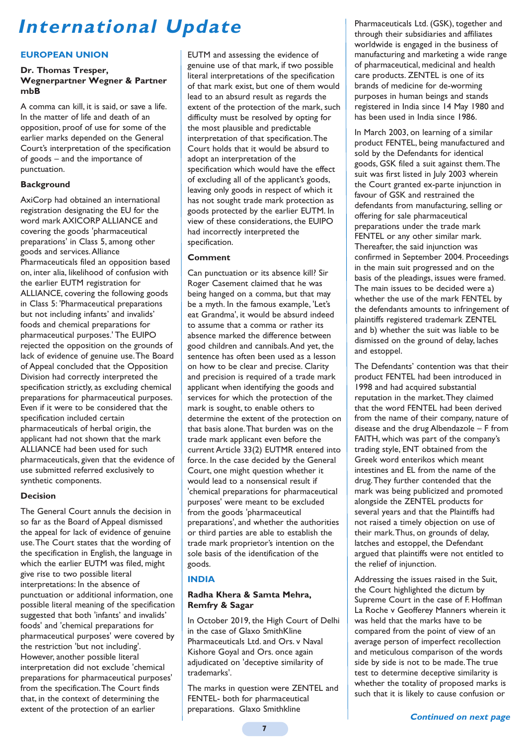# **International Update**

#### **EUROPEAN UNION**

#### **Dr. Thomas Tresper, Wegnerpartner Wegner & Partner mbB**

A comma can kill, it is said, or save a life. In the matter of life and death of an opposition, proof of use for some of the earlier marks depended on the General Court's interpretation of the specification of goods – and the importance of punctuation.

#### **Background**

AxiCorp had obtained an international registration designating the EU for the word mark AXICORP ALLIANCE and covering the goods 'pharmaceutical preparations' in Class 5, among other goods and services.Alliance Pharmaceuticals filed an opposition based on, inter alia, likelihood of confusion with the earlier EUTM registration for ALLIANCE, covering the following goods in Class 5: 'Pharmaceutical preparations but not including infants' and invalids' foods and chemical preparations for pharmaceutical purposes.' The EUIPO rejected the opposition on the grounds of lack of evidence of genuine use.The Board of Appeal concluded that the Opposition Division had correctly interpreted the specification strictly, as excluding chemical preparations for pharmaceutical purposes. Even if it were to be considered that the specification included certain pharmaceuticals of herbal origin, the applicant had not shown that the mark ALLIANCE had been used for such pharmaceuticals, given that the evidence of use submitted referred exclusively to synthetic components.

#### **Decision**

The General Court annuls the decision in so far as the Board of Appeal dismissed the appeal for lack of evidence of genuine use.The Court states that the wording of the specification in English, the language in which the earlier EUTM was filed, might give rise to two possible literal interpretations: In the absence of punctuation or additional information, one possible literal meaning of the specification suggested that both 'infants' and invalids' foods' and 'chemical preparations for pharmaceutical purposes' were covered by the restriction 'but not including'. However, another possible literal interpretation did not exclude 'chemical preparations for pharmaceutical purposes' from the specification.The Court finds that, in the context of determining the extent of the protection of an earlier

EUTM and assessing the evidence of genuine use of that mark, if two possible literal interpretations of the specification of that mark exist, but one of them would lead to an absurd result as regards the extent of the protection of the mark, such difficulty must be resolved by opting for the most plausible and predictable interpretation of that specification.The Court holds that it would be absurd to adopt an interpretation of the specification which would have the effect of excluding all of the applicant's goods, leaving only goods in respect of which it has not sought trade mark protection as goods protected by the earlier EUTM. In view of these considerations, the EUIPO had incorrectly interpreted the specification.

#### **Comment**

Can punctuation or its absence kill? Sir Roger Casement claimed that he was being hanged on a comma, but that may be a myth. In the famous example, 'Let's eat Grandma', it would be absurd indeed to assume that a comma or rather its absence marked the difference between good children and cannibals.And yet, the sentence has often been used as a lesson on how to be clear and precise. Clarity and precision is required of a trade mark applicant when identifying the goods and services for which the protection of the mark is sought, to enable others to determine the extent of the protection on that basis alone.That burden was on the trade mark applicant even before the current Article 33(2) EUTMR entered into force. In the case decided by the General Court, one might question whether it would lead to a nonsensical result if 'chemical preparations for pharmaceutical purposes' were meant to be excluded from the goods 'pharmaceutical preparations', and whether the authorities or third parties are able to establish the trade mark proprietor's intention on the sole basis of the identification of the goods.

#### **INDIA**

#### **Radha Khera & Samta Mehra, Remfry & Sagar**

In October 2019, the High Court of Delhi in the case of Glaxo SmithKline Pharmaceuticals Ltd. and Ors. v Naval Kishore Goyal and Ors. once again adjudicated on 'deceptive similarity of trademarks'.

The marks in question were ZENTEL and FENTEL- both for pharmaceutical preparations. Glaxo Smithkline

Pharmaceuticals Ltd. (GSK), together and through their subsidiaries and affiliates worldwide is engaged in the business of manufacturing and marketing a wide range of pharmaceutical, medicinal and health care products. ZENTEL is one of its brands of medicine for de-worming purposes in human beings and stands registered in India since 14 May 1980 and has been used in India since 1986.

In March 2003, on learning of a similar product FENTEL, being manufactured and sold by the Defendants for identical goods, GSK filed a suit against them.The suit was first listed in July 2003 wherein the Court granted ex-parte injunction in favour of GSK and restrained the defendants from manufacturing, selling or offering for sale pharmaceutical preparations under the trade mark FENTEL or any other similar mark. Thereafter, the said injunction was confirmed in September 2004. Proceedings in the main suit progressed and on the basis of the pleadings, issues were framed. The main issues to be decided were a) whether the use of the mark FENTEL by the defendants amounts to infringement of plaintiffs registered trademark ZENTEL and b) whether the suit was liable to be dismissed on the ground of delay, laches and estoppel.

The Defendants' contention was that their product FENTEL had been introduced in 1998 and had acquired substantial reputation in the market.They claimed that the word FENTEL had been derived from the name of their company, nature of disease and the drug Albendazole – F from FAITH, which was part of the company's trading style, ENT obtained from the Greek word enterikos which meant intestines and EL from the name of the drug.They further contended that the mark was being publicized and promoted alongside the ZENTEL products for several years and that the Plaintiffs had not raised a timely objection on use of their mark.Thus, on grounds of delay, latches and estoppel, the Defendant argued that plaintiffs were not entitled to the relief of injunction.

Addressing the issues raised in the Suit, the Court highlighted the dictum by Supreme Court in the case of F. Hoffman La Roche v Geofferey Manners wherein it was held that the marks have to be compared from the point of view of an average person of imperfect recollection and meticulous comparison of the words side by side is not to be made.The true test to determine deceptive similarity is whether the totality of proposed marks is such that it is likely to cause confusion or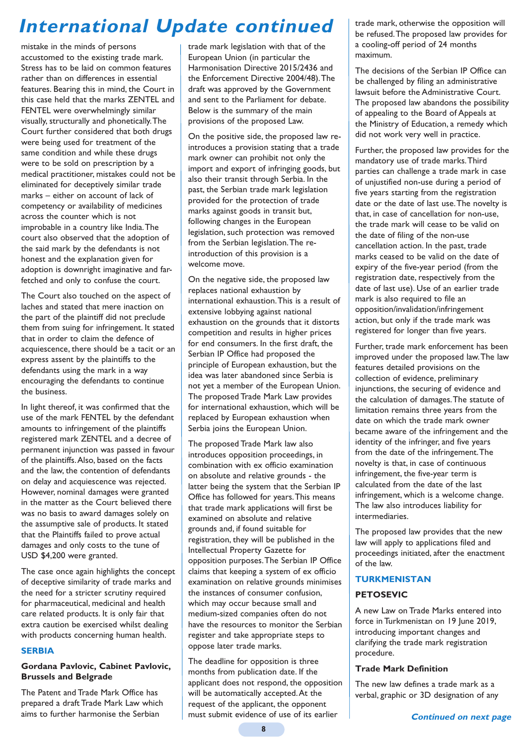# **International Update continued**

mistake in the minds of persons accustomed to the existing trade mark. Stress has to be laid on common features rather than on differences in essential features. Bearing this in mind, the Court in this case held that the marks ZENTEL and FENTEL were overwhelmingly similar visually, structurally and phonetically.The Court further considered that both drugs were being used for treatment of the same condition and while these drugs were to be sold on prescription by a medical practitioner, mistakes could not be eliminated for deceptively similar trade marks – either on account of lack of competency or availability of medicines across the counter which is not improbable in a country like India.The court also observed that the adoption of the said mark by the defendants is not honest and the explanation given for adoption is downright imaginative and farfetched and only to confuse the court.

The Court also touched on the aspect of laches and stated that mere inaction on the part of the plaintiff did not preclude them from suing for infringement. It stated that in order to claim the defence of acquiescence, there should be a tacit or an express assent by the plaintiffs to the defendants using the mark in a way encouraging the defendants to continue the business.

In light thereof, it was confirmed that the use of the mark FENTEL by the defendant amounts to infringement of the plaintiffs registered mark ZENTEL and a decree of permanent injunction was passed in favour of the plaintiffs.Also, based on the facts and the law, the contention of defendants on delay and acquiescence was rejected. However, nominal damages were granted in the matter as the Court believed there was no basis to award damages solely on the assumptive sale of products. It stated that the Plaintiffs failed to prove actual damages and only costs to the tune of USD \$4,200 were granted.

The case once again highlights the concept of deceptive similarity of trade marks and the need for a stricter scrutiny required for pharmaceutical, medicinal and health care related products. It is only fair that extra caution be exercised whilst dealing with products concerning human health.

#### **SERBIA**

#### **Gordana Pavlovic, Cabinet Pavlovic, Brussels and Belgrade**

The Patent and Trade Mark Office has prepared a draft Trade Mark Law which aims to further harmonise the Serbian

trade mark legislation with that of the European Union (in particular the Harmonisation Directive 2015/2436 and the Enforcement Directive 2004/48).The draft was approved by the Government and sent to the Parliament for debate. Below is the summary of the main provisions of the proposed Law.

On the positive side, the proposed law reintroduces a provision stating that a trade mark owner can prohibit not only the import and export of infringing goods, but also their transit through Serbia. In the past, the Serbian trade mark legislation provided for the protection of trade marks against goods in transit but, following changes in the European legislation, such protection was removed from the Serbian legislation.The reintroduction of this provision is a welcome move.

On the negative side, the proposed law replaces national exhaustion by international exhaustion.This is a result of extensive lobbying against national exhaustion on the grounds that it distorts competition and results in higher prices for end consumers. In the first draft, the Serbian IP Office had proposed the principle of European exhaustion, but the idea was later abandoned since Serbia is not yet a member of the European Union. The proposed Trade Mark Law provides for international exhaustion, which will be replaced by European exhaustion when Serbia joins the European Union.

The proposed Trade Mark law also introduces opposition proceedings, in combination with ex officio examination on absolute and relative grounds - the latter being the system that the Serbian IP Office has followed for years.This means that trade mark applications will first be examined on absolute and relative grounds and, if found suitable for registration, they will be published in the Intellectual Property Gazette for opposition purposes.The Serbian IP Office claims that keeping a system of ex officio examination on relative grounds minimises the instances of consumer confusion, which may occur because small and medium-sized companies often do not have the resources to monitor the Serbian register and take appropriate steps to oppose later trade marks.

The deadline for opposition is three months from publication date. If the applicant does not respond, the opposition will be automatically accepted.At the request of the applicant, the opponent must submit evidence of use of its earlier

trade mark, otherwise the opposition will be refused.The proposed law provides for a cooling-off period of 24 months maximum.

The decisions of the Serbian IP Office can be challenged by filing an administrative lawsuit before the Administrative Court. The proposed law abandons the possibility of appealing to the Board of Appeals at the Ministry of Education, a remedy which did not work very well in practice.

Further, the proposed law provides for the mandatory use of trade marks.Third parties can challenge a trade mark in case of unjustified non-use during a period of five years starting from the registration date or the date of last use.The novelty is that, in case of cancellation for non-use, the trade mark will cease to be valid on the date of filing of the non-use cancellation action. In the past, trade marks ceased to be valid on the date of expiry of the five-year period (from the registration date, respectively from the date of last use). Use of an earlier trade mark is also required to file an opposition/invalidation/infringement action, but only if the trade mark was registered for longer than five years.

Further, trade mark enforcement has been improved under the proposed law.The law features detailed provisions on the collection of evidence, preliminary injunctions, the securing of evidence and the calculation of damages.The statute of limitation remains three years from the date on which the trade mark owner became aware of the infringement and the identity of the infringer, and five years from the date of the infringement.The novelty is that, in case of continuous infringement, the five-year term is calculated from the date of the last infringement, which is a welcome change. The law also introduces liability for intermediaries.

The proposed law provides that the new law will apply to applications filed and proceedings initiated, after the enactment of the law.

#### **TURKMENISTAN**

#### **PETOSEVIC**

A new Law on Trade Marks entered into force in Turkmenistan on 19 June 2019, introducing important changes and clarifying the trade mark registration procedure.

#### **Trade Mark Definition**

The new law defines a trade mark as a verbal, graphic or 3D designation of any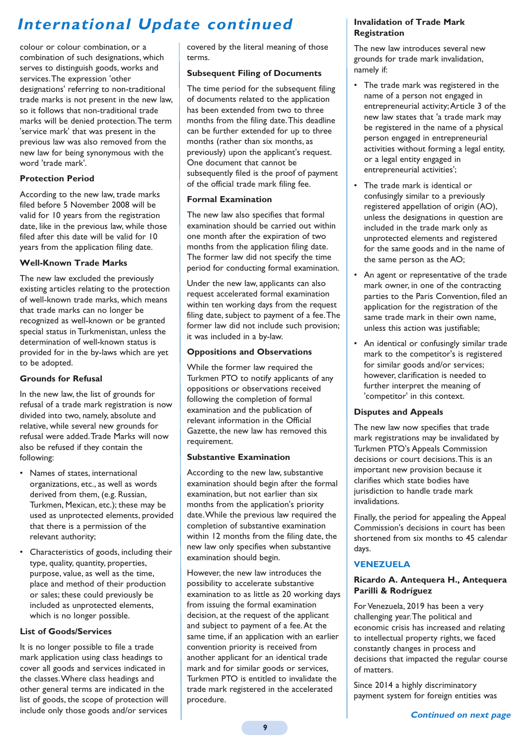# **International Update continued**

colour or colour combination, or a combination of such designations, which serves to distinguish goods, works and services.The expression 'other designations' referring to non-traditional trade marks is not present in the new law, so it follows that non-traditional trade marks will be denied protection.The term 'service mark' that was present in the previous law was also removed from the new law for being synonymous with the word 'trade mark'.

### **Protection Period**

According to the new law, trade marks filed before 5 November 2008 will be valid for 10 years from the registration date, like in the previous law, while those filed after this date will be valid for 10 years from the application filing date.

### **Well-Known Trade Marks**

The new law excluded the previously existing articles relating to the protection of well-known trade marks, which means that trade marks can no longer be recognized as well-known or be granted special status in Turkmenistan, unless the determination of well-known status is provided for in the by-laws which are yet to be adopted.

### **Grounds for Refusal**

In the new law, the list of grounds for refusal of a trade mark registration is now divided into two, namely, absolute and relative, while several new grounds for refusal were added.Trade Marks will now also be refused if they contain the following:

- Names of states, international organizations, etc., as well as words derived from them, (e.g. Russian, Turkmen, Mexican, etc.); these may be used as unprotected elements, provided that there is a permission of the relevant authority;
- Characteristics of goods, including their type, quality, quantity, properties, purpose, value, as well as the time, place and method of their production or sales; these could previously be included as unprotected elements, which is no longer possible.

#### **List of Goods/Services**

It is no longer possible to file a trade mark application using class headings to cover all goods and services indicated in the classes.Where class headings and other general terms are indicated in the list of goods, the scope of protection will include only those goods and/or services

covered by the literal meaning of those terms.

### **Subsequent Filing of Documents**

The time period for the subsequent filing of documents related to the application has been extended from two to three months from the filing date.This deadline can be further extended for up to three months (rather than six months, as previously) upon the applicant's request. One document that cannot be subsequently filed is the proof of payment of the official trade mark filing fee.

#### **Formal Examination**

The new law also specifies that formal examination should be carried out within one month after the expiration of two months from the application filing date. The former law did not specify the time period for conducting formal examination.

Under the new law, applicants can also request accelerated formal examination within ten working days from the request filing date, subject to payment of a fee.The former law did not include such provision; it was included in a by-law.

### **Oppositions and Observations**

While the former law required the Turkmen PTO to notify applicants of any oppositions or observations received following the completion of formal examination and the publication of relevant information in the Official Gazette, the new law has removed this requirement.

## **Substantive Examination**

According to the new law, substantive examination should begin after the formal examination, but not earlier than six months from the application's priority date.While the previous law required the completion of substantive examination within 12 months from the filing date, the new law only specifies when substantive examination should begin.

However, the new law introduces the possibility to accelerate substantive examination to as little as 20 working days from issuing the formal examination decision, at the request of the applicant and subject to payment of a fee.At the same time, if an application with an earlier convention priority is received from another applicant for an identical trade mark and for similar goods or services, Turkmen PTO is entitled to invalidate the trade mark registered in the accelerated procedure.

### **Invalidation of Trade Mark Registration**

The new law introduces several new grounds for trade mark invalidation, namely if:

- The trade mark was registered in the name of a person not engaged in entrepreneurial activity;Article 3 of the new law states that 'a trade mark may be registered in the name of a physical person engaged in entrepreneurial activities without forming a legal entity, or a legal entity engaged in entrepreneurial activities';
- The trade mark is identical or confusingly similar to a previously registered appellation of origin (AO), unless the designations in question are included in the trade mark only as unprotected elements and registered for the same goods and in the name of the same person as the AO;
- An agent or representative of the trade mark owner, in one of the contracting parties to the Paris Convention, filed an application for the registration of the same trade mark in their own name, unless this action was justifiable;
- An identical or confusingly similar trade mark to the competitor's is registered for similar goods and/or services; however, clarification is needed to further interpret the meaning of 'competitor' in this context.

#### **Disputes and Appeals**

The new law now specifies that trade mark registrations may be invalidated by Turkmen PTO's Appeals Commission decisions or court decisions.This is an important new provision because it clarifies which state bodies have jurisdiction to handle trade mark invalidations.

Finally, the period for appealing the Appeal Commission's decisions in court has been shortened from six months to 45 calendar days.

# **VENEZUELA**

#### **Ricardo A. Antequera H., Antequera Parilli & Rodríguez**

For Venezuela, 2019 has been a very challenging year.The political and economic crisis has increased and relating to intellectual property rights, we faced constantly changes in process and decisions that impacted the regular course of matters.

Since 2014 a highly discriminatory payment system for foreign entities was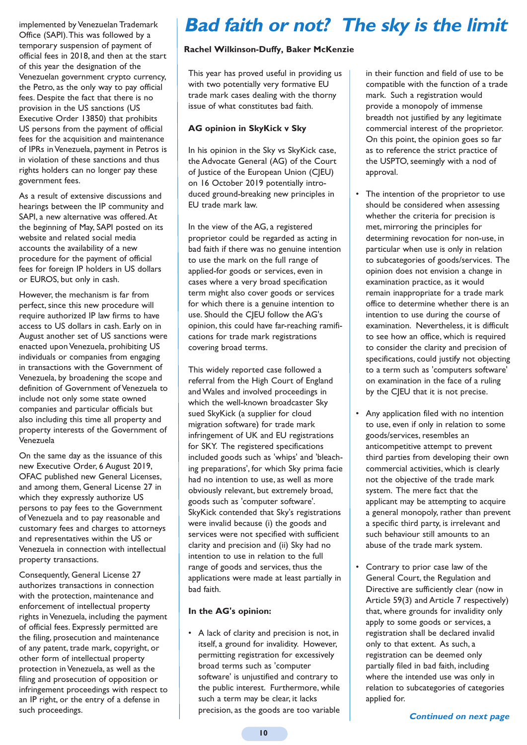implemented by Venezuelan Trademark Office (SAPI).This was followed by a temporary suspension of payment of official fees in 2018, and then at the start of this year the designation of the Venezuelan government crypto currency, the Petro, as the only way to pay official fees. Despite the fact that there is no provision in the US sanctions (US Executive Order 13850) that prohibits US persons from the payment of official fees for the acquisition and maintenance of IPRs in Venezuela, payment in Petros is in violation of these sanctions and thus rights holders can no longer pay these government fees.

As a result of extensive discussions and hearings between the IP community and SAPI, a new alternative was offered.At the beginning of May, SAPI posted on its website and related social media accounts the availability of a new procedure for the payment of official fees for foreign IP holders in US dollars or EUROS, but only in cash.

However, the mechanism is far from perfect, since this new procedure will require authorized IP law firms to have access to US dollars in cash. Early on in August another set of US sanctions were enacted upon Venezuela, prohibiting US individuals or companies from engaging in transactions with the Government of Venezuela, by broadening the scope and definition of Government of Venezuela to include not only some state owned companies and particular officials but also including this time all property and property interests of the Government of Venezuela

On the same day as the issuance of this new Executive Order, 6 August 2019, OFAC published new General Licenses, and among them, General License 27 in which they expressly authorize US persons to pay fees to the Government of Venezuela and to pay reasonable and customary fees and charges to attorneys and representatives within the US or Venezuela in connection with intellectual property transactions.

Consequently, General License 27 authorizes transactions in connection with the protection, maintenance and enforcement of intellectual property rights in Venezuela, including the payment of official fees. Expressly permitted are the filing, prosecution and maintenance of any patent, trade mark, copyright, or other form of intellectual property protection in Venezuela, as well as the filing and prosecution of opposition or infringement proceedings with respect to an IP right, or the entry of a defense in such proceedings.

# **Bad faith or not? The sky is the limit**

### **Rachel Wilkinson-Duffy, Baker McKenzie**

This year has proved useful in providing us with two potentially very formative EU trade mark cases dealing with the thorny issue of what constitutes bad faith.

### **AG opinion in SkyKick v Sky**

In his opinion in the Sky vs SkyKick case, the Advocate General (AG) of the Court of Justice of the European Union (CJEU) on 16 October 2019 potentially introduced ground-breaking new principles in EU trade mark law.

In the view of the AG, a registered proprietor could be regarded as acting in bad faith if there was no genuine intention to use the mark on the full range of applied-for goods or services, even in cases where a very broad specification term might also cover goods or services for which there is a genuine intention to use. Should the CJEU follow the AG's opinion, this could have far-reaching ramifications for trade mark registrations covering broad terms.

This widely reported case followed a referral from the High Court of England and Wales and involved proceedings in which the well-known broadcaster Sky sued SkyKick (a supplier for cloud migration software) for trade mark infringement of UK and EU registrations for SKY. The registered specifications included goods such as 'whips' and 'bleaching preparations', for which Sky prima facie had no intention to use, as well as more obviously relevant, but extremely broad, goods such as 'computer software'. SkyKick contended that Sky's registrations were invalid because (i) the goods and services were not specified with sufficient clarity and precision and (ii) Sky had no intention to use in relation to the full range of goods and services, thus the applications were made at least partially in bad faith.

#### **In the AG's opinion:**

• A lack of clarity and precision is not, in itself, a ground for invalidity. However, permitting registration for excessively broad terms such as 'computer software' is unjustified and contrary to the public interest. Furthermore, while such a term may be clear, it lacks precision, as the goods are too variable

in their function and field of use to be compatible with the function of a trade mark. Such a registration would provide a monopoly of immense breadth not justified by any legitimate commercial interest of the proprietor. On this point, the opinion goes so far as to reference the strict practice of the USPTO, seemingly with a nod of approval.

- The intention of the proprietor to use should be considered when assessing whether the criteria for precision is met, mirroring the principles for determining revocation for non-use, in particular when use is only in relation to subcategories of goods/services. The opinion does not envision a change in examination practice, as it would remain inappropriate for a trade mark office to determine whether there is an intention to use during the course of examination. Nevertheless, it is difficult to see how an office, which is required to consider the clarity and precision of specifications, could justify not objecting to a term such as 'computers software' on examination in the face of a ruling by the CJEU that it is not precise.
- Any application filed with no intention to use, even if only in relation to some goods/services, resembles an anticompetitive attempt to prevent third parties from developing their own commercial activities, which is clearly not the objective of the trade mark system. The mere fact that the applicant may be attempting to acquire a general monopoly, rather than prevent a specific third party, is irrelevant and such behaviour still amounts to an abuse of the trade mark system.
- Contrary to prior case law of the General Court, the Regulation and Directive are sufficiently clear (now in Article 59(3) and Article 7 respectively) that, where grounds for invalidity only apply to some goods or services, a registration shall be declared invalid only to that extent. As such, a registration can be deemed only partially filed in bad faith, including where the intended use was only in relation to subcategories of categories applied for.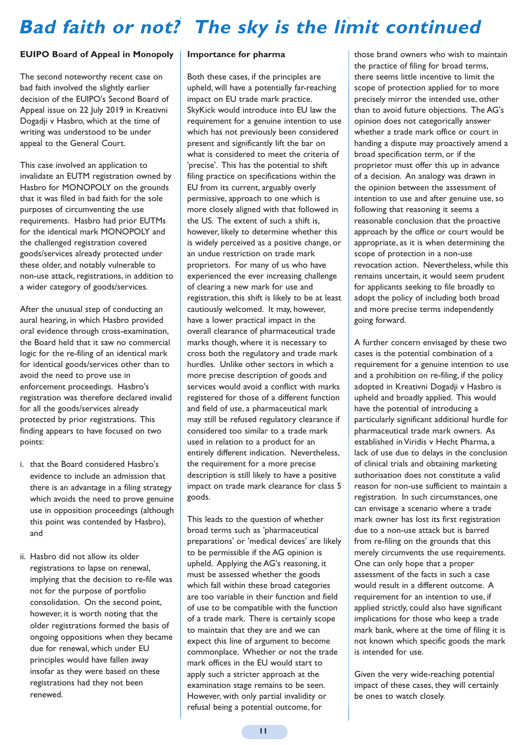# **Bad faith or not? The sky is the limit continued**

#### **EUIPO Board of Appeal in Monopoly**

The second noteworthy recent case on bad faith involved the slightly earlier decision of the EUIPO's Second Board of Appeal issue on 22 July 2019 in Kreativni Dogadji v Hasbro, which at the time of writing was understood to be under appeal to the General Court.

This case involved an application to invalidate an EUTM registration owned by Hasbro for MONOPOLY on the grounds that it was filed in bad faith for the sole purposes of circumventing the use requirements. Hasbro had prior EUTMs for the identical mark MONOPOLY and the challenged registration covered goods/services already protected under these older, and notably vulnerable to non-use attack, registrations, in addition to a wider category of goods/services.

After the unusual step of conducting an aural hearing, in which Hasbro provided oral evidence through cross-examination, the Board held that it saw no commercial logic for the re-filing of an identical mark for identical goods/services other than to avoid the need to prove use in enforcement proceedings. Hasbro's registration was therefore declared invalid for all the goods/services already protected by prior registrations. This finding appears to have focused on two points:

- i. that the Board considered Hasbro's evidence to include an admission that there is an advantage in a filing strategy which avoids the need to prove genuine use in opposition proceedings (although this point was contended by Hasbro), and
- ii. Hasbro did not allow its older registrations to lapse on renewal, implying that the decision to re-file was not for the purpose of portfolio consolidation. On the second point, however, it is worth noting that the older registrations formed the basis of ongoing oppositions when they became due for renewal, which under EU principles would have fallen away insofar as they were based on these registrations had they not been renewed.

#### **Importance for pharma**

Both these cases, if the principles are upheld, will have a potentially far-reaching impact on EU trade mark practice. SkyKick would introduce into EU law the requirement for a genuine intention to use which has not previously been considered present and significantly lift the bar on what is considered to meet the criteria of 'precise'. This has the potential to shift filing practice on specifications within the EU from its current, arguably overly permissive, approach to one which is more closely aligned with that followed in the US. The extent of such a shift is, however, likely to determine whether this is widely perceived as a positive change, or an undue restriction on trade mark proprietors. For many of us who have experienced the ever increasing challenge of clearing a new mark for use and registration, this shift is likely to be at least cautiously welcomed. It may, however, have a lower practical impact in the overall clearance of pharmaceutical trade marks though, where it is necessary to cross both the regulatory and trade mark hurdles. Unlike other sectors in which a more precise description of goods and services would avoid a conflict with marks registered for those of a different function and field of use, a pharmaceutical mark may still be refused regulatory clearance if considered too similar to a trade mark used in relation to a product for an entirely different indication. Nevertheless, the requirement for a more precise description is still likely to have a positive impact on trade mark clearance for class 5 goods.

This leads to the question of whether broad terms such as 'pharmaceutical preparations' or 'medical devices' are likely to be permissible if the AG opinion is upheld. Applying the AG's reasoning, it must be assessed whether the goods which fall within these broad categories are too variable in their function and field of use to be compatible with the function of a trade mark. There is certainly scope to maintain that they are and we can expect this line of argument to become commonplace. Whether or not the trade mark offices in the EU would start to apply such a stricter approach at the examination stage remains to be seen. However, with only partial invalidity or refusal being a potential outcome, for

those brand owners who wish to maintain the practice of filing for broad terms, there seems little incentive to limit the scope of protection applied for to more precisely mirror the intended use, other than to avoid future objections. The AG's opinion does not categorically answer whether a trade mark office or court in handing a dispute may proactively amend a broad specification term, or if the proprietor must offer this up in advance of a decision. An analogy was drawn in the opinion between the assessment of intention to use and after genuine use, so following that reasoning it seems a reasonable conclusion that the proactive approach by the office or court would be appropriate, as it is when determining the scope of protection in a non-use revocation action. Nevertheless, while this remains uncertain, it would seem prudent for applicants seeking to file broadly to adopt the policy of including both broad and more precise terms independently going forward.

A further concern envisaged by these two cases is the potential combination of a requirement for a genuine intention to use and a prohibition on re-filing, if the policy adopted in Kreativni Dogadji v Hasbro is upheld and broadly applied. This would have the potential of introducing a particularly significant additional hurdle for pharmaceutical trade mark owners. As established in Viridis v Hecht Pharma, a lack of use due to delays in the conclusion of clinical trials and obtaining marketing authorisation does not constitute a valid reason for non-use sufficient to maintain a registration. In such circumstances, one can envisage a scenario where a trade mark owner has lost its first registration due to a non-use attack but is barred from re-filing on the grounds that this merely circumvents the use requirements. One can only hope that a proper assessment of the facts in such a case would result in a different outcome. A requirement for an intention to use, if applied strictly, could also have significant implications for those who keep a trade mark bank, where at the time of filing it is not known which specific goods the mark is intended for use.

Given the very wide-reaching potential impact of these cases, they will certainly be ones to watch closely.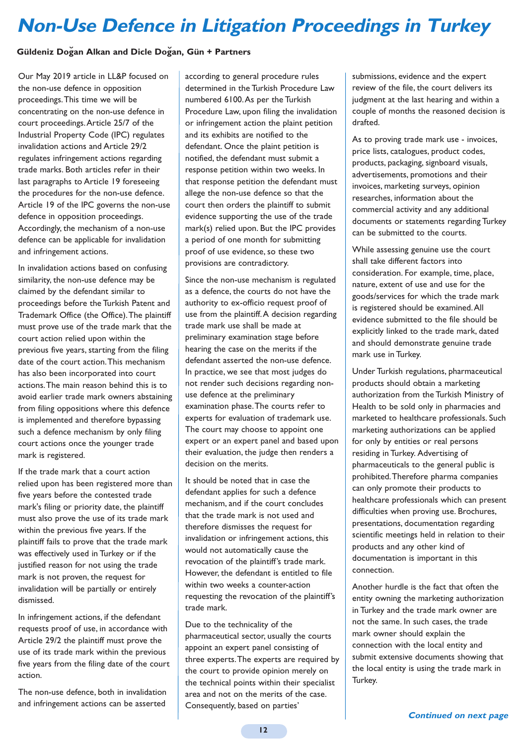# **Non-Use Defence in Litigation Proceedings in Turkey**

## **Güldeniz Dogan Alkan and Dicle Dogan, Gün + Partners**

Our May 2019 article in LL&P focused on the non-use defence in opposition proceedings.This time we will be concentrating on the non-use defence in court proceedings.Article 25/7 of the Industrial Property Code (IPC) regulates invalidation actions and Article 29/2 regulates infringement actions regarding trade marks. Both articles refer in their last paragraphs to Article 19 foreseeing the procedures for the non-use defence. Article 19 of the IPC governs the non-use defence in opposition proceedings. Accordingly, the mechanism of a non-use defence can be applicable for invalidation and infringement actions.

In invalidation actions based on confusing similarity, the non-use defence may be claimed by the defendant similar to proceedings before the Turkish Patent and Trademark Office (the Office).The plaintiff must prove use of the trade mark that the court action relied upon within the previous five years, starting from the filing date of the court action.This mechanism has also been incorporated into court actions.The main reason behind this is to avoid earlier trade mark owners abstaining from filing oppositions where this defence is implemented and therefore bypassing such a defence mechanism by only filing court actions once the younger trade mark is registered.

If the trade mark that a court action relied upon has been registered more than five years before the contested trade mark's filing or priority date, the plaintiff must also prove the use of its trade mark within the previous five years. If the plaintiff fails to prove that the trade mark was effectively used in Turkey or if the justified reason for not using the trade mark is not proven, the request for invalidation will be partially or entirely dismissed.

In infringement actions, if the defendant requests proof of use, in accordance with Article 29/2 the plaintiff must prove the use of its trade mark within the previous five years from the filing date of the court action.

The non-use defence, both in invalidation and infringement actions can be asserted

according to general procedure rules determined in the Turkish Procedure Law numbered 6100.As per the Turkish Procedure Law, upon filing the invalidation or infringement action the plaint petition and its exhibits are notified to the defendant. Once the plaint petition is notified, the defendant must submit a response petition within two weeks. In that response petition the defendant must allege the non-use defence so that the court then orders the plaintiff to submit evidence supporting the use of the trade mark(s) relied upon. But the IPC provides a period of one month for submitting proof of use evidence, so these two provisions are contradictory.

Since the non-use mechanism is regulated as a defence, the courts do not have the authority to ex-officio request proof of use from the plaintiff.A decision regarding trade mark use shall be made at preliminary examination stage before hearing the case on the merits if the defendant asserted the non-use defence. In practice, we see that most judges do not render such decisions regarding nonuse defence at the preliminary examination phase.The courts refer to experts for evaluation of trademark use. The court may choose to appoint one expert or an expert panel and based upon their evaluation, the judge then renders a decision on the merits.

It should be noted that in case the defendant applies for such a defence mechanism, and if the court concludes that the trade mark is not used and therefore dismisses the request for invalidation or infringement actions, this would not automatically cause the revocation of the plaintiff's trade mark. However, the defendant is entitled to file within two weeks a counter-action requesting the revocation of the plaintiff's trade mark.

Due to the technicality of the pharmaceutical sector, usually the courts appoint an expert panel consisting of three experts.The experts are required by the court to provide opinion merely on the technical points within their specialist area and not on the merits of the case. Consequently, based on parties'

submissions, evidence and the expert review of the file, the court delivers its judgment at the last hearing and within a couple of months the reasoned decision is drafted.

As to proving trade mark use - invoices, price lists, catalogues, product codes, products, packaging, signboard visuals, advertisements, promotions and their invoices, marketing surveys, opinion researches, information about the commercial activity and any additional documents or statements regarding Turkey can be submitted to the courts.

While assessing genuine use the court shall take different factors into consideration. For example, time, place, nature, extent of use and use for the goods/services for which the trade mark is registered should be examined.All evidence submitted to the file should be explicitly linked to the trade mark, dated and should demonstrate genuine trade mark use in Turkey.

Under Turkish regulations, pharmaceutical products should obtain a marketing authorization from the Turkish Ministry of Health to be sold only in pharmacies and marketed to healthcare professionals. Such marketing authorizations can be applied for only by entities or real persons residing in Turkey. Advertising of pharmaceuticals to the general public is prohibited.Therefore pharma companies can only promote their products to healthcare professionals which can present difficulties when proving use. Brochures, presentations, documentation regarding scientific meetings held in relation to their products and any other kind of documentation is important in this connection.

Another hurdle is the fact that often the entity owning the marketing authorization in Turkey and the trade mark owner are not the same. In such cases, the trade mark owner should explain the connection with the local entity and submit extensive documents showing that the local entity is using the trade mark in Turkey.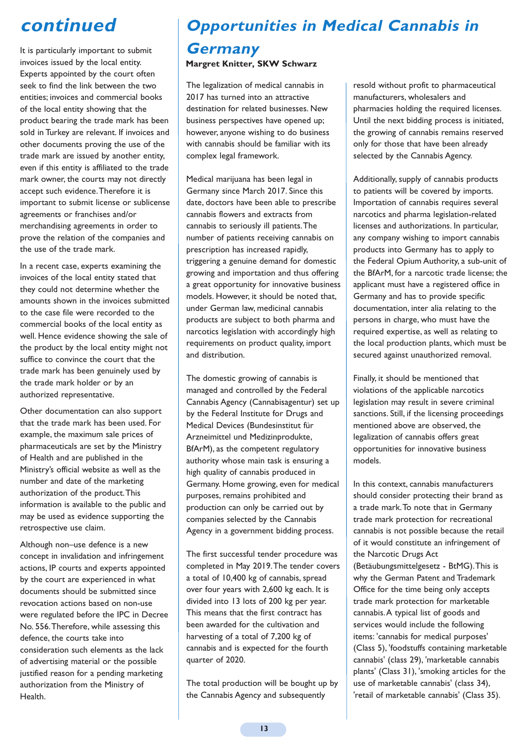# **continued**

It is particularly important to submit invoices issued by the local entity. Experts appointed by the court often seek to find the link between the two entities; invoices and commercial books of the local entity showing that the product bearing the trade mark has been sold in Turkey are relevant. If invoices and other documents proving the use of the trade mark are issued by another entity, even if this entity is affiliated to the trade mark owner, the courts may not directly accept such evidence.Therefore it is important to submit license or sublicense agreements or franchises and/or merchandising agreements in order to prove the relation of the companies and the use of the trade mark.

In a recent case, experts examining the invoices of the local entity stated that they could not determine whether the amounts shown in the invoices submitted to the case file were recorded to the commercial books of the local entity as well. Hence evidence showing the sale of the product by the local entity might not suffice to convince the court that the trade mark has been genuinely used by the trade mark holder or by an authorized representative.

Other documentation can also support that the trade mark has been used. For example, the maximum sale prices of pharmaceuticals are set by the Ministry of Health and are published in the Ministry's official website as well as the number and date of the marketing authorization of the product.This information is available to the public and may be used as evidence supporting the retrospective use claim.

Although non–use defence is a new concept in invalidation and infringement actions, IP courts and experts appointed by the court are experienced in what documents should be submitted since revocation actions based on non-use were regulated before the IPC in Decree No. 556.Therefore, while assessing this defence, the courts take into consideration such elements as the lack of advertising material or the possible justified reason for a pending marketing authorization from the Ministry of Health.

# **Opportunities in Medical Cannabis in**

# **Germany Margret Knitter, SKW Schwarz**

The legalization of medical cannabis in 2017 has turned into an attractive destination for related businesses. New business perspectives have opened up; however, anyone wishing to do business with cannabis should be familiar with its complex legal framework.

Medical marijuana has been legal in Germany since March 2017. Since this date, doctors have been able to prescribe cannabis flowers and extracts from cannabis to seriously ill patients.The number of patients receiving cannabis on prescription has increased rapidly, triggering a genuine demand for domestic growing and importation and thus offering a great opportunity for innovative business models. However, it should be noted that, under German law, medicinal cannabis products are subject to both pharma and narcotics legislation with accordingly high requirements on product quality, import and distribution.

The domestic growing of cannabis is managed and controlled by the Federal Cannabis Agency (Cannabisagentur) set up by the Federal Institute for Drugs and Medical Devices (Bundesinstitut für Arzneimittel und Medizinprodukte, BfArM), as the competent regulatory authority whose main task is ensuring a high quality of cannabis produced in Germany. Home growing, even for medical purposes, remains prohibited and production can only be carried out by companies selected by the Cannabis Agency in a government bidding process.

The first successful tender procedure was completed in May 2019.The tender covers a total of 10,400 kg of cannabis, spread over four years with 2,600 kg each. It is divided into 13 lots of 200 kg per year. This means that the first contract has been awarded for the cultivation and harvesting of a total of 7,200 kg of cannabis and is expected for the fourth quarter of 2020.

The total production will be bought up by the Cannabis Agency and subsequently

resold without profit to pharmaceutical manufacturers, wholesalers and pharmacies holding the required licenses. Until the next bidding process is initiated, the growing of cannabis remains reserved only for those that have been already selected by the Cannabis Agency.

Additionally, supply of cannabis products to patients will be covered by imports. Importation of cannabis requires several narcotics and pharma legislation-related licenses and authorizations. In particular, any company wishing to import cannabis products into Germany has to apply to the Federal Opium Authority, a sub-unit of the BfArM, for a narcotic trade license; the applicant must have a registered office in Germany and has to provide specific documentation, inter alia relating to the persons in charge, who must have the required expertise, as well as relating to the local production plants, which must be secured against unauthorized removal.

Finally, it should be mentioned that violations of the applicable narcotics legislation may result in severe criminal sanctions. Still, if the licensing proceedings mentioned above are observed, the legalization of cannabis offers great opportunities for innovative business models.

In this context, cannabis manufacturers should consider protecting their brand as a trade mark.To note that in Germany trade mark protection for recreational cannabis is not possible because the retail of it would constitute an infringement of the Narcotic Drugs Act (Betäubungsmittelgesetz - BtMG).This is why the German Patent and Trademark Office for the time being only accepts trade mark protection for marketable cannabis.A typical list of goods and services would include the following items: 'cannabis for medical purposes' (Class 5), 'foodstuffs containing marketable cannabis' (class 29), 'marketable cannabis plants' (Class 31), 'smoking articles for the use of marketable cannabis' (class 34), 'retail of marketable cannabis' (Class 35).